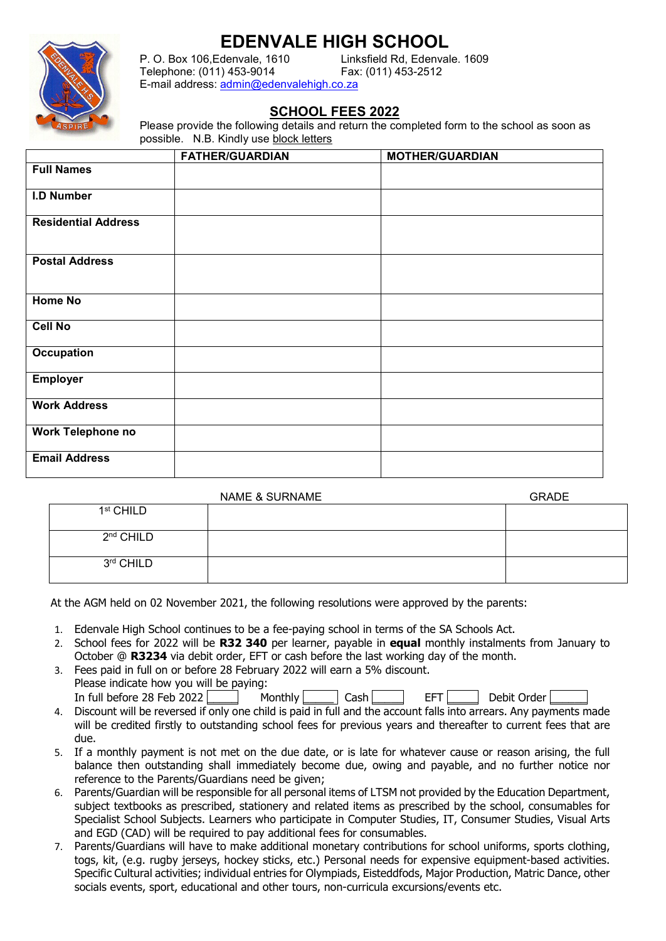## **EDENVALE HIGH SCHOOL**



P. O. Box 106. Edenvale, 1610 Telephone: (011) 453-9014 Fax: (011) 453-2512 E-mail address: [admin@edenvalehigh.co.za](mailto:admin@edenvalehigh.co.za)

## **SCHOOL FEES 2022**

Please provide the following details and return the completed form to the school as soon as possible. N.B. Kindly use block letters

|                            | <b>FATHER/GUARDIAN</b> | <b>MOTHER/GUARDIAN</b> |  |
|----------------------------|------------------------|------------------------|--|
| <b>Full Names</b>          |                        |                        |  |
| <b>I.D Number</b>          |                        |                        |  |
| <b>Residential Address</b> |                        |                        |  |
| <b>Postal Address</b>      |                        |                        |  |
| <b>Home No</b>             |                        |                        |  |
| Cell No                    |                        |                        |  |
| <b>Occupation</b>          |                        |                        |  |
| <b>Employer</b>            |                        |                        |  |
| <b>Work Address</b>        |                        |                        |  |
| Work Telephone no          |                        |                        |  |
| <b>Email Address</b>       |                        |                        |  |

|                       | <b>NAME &amp; SURNAME</b> | <b>GRADE</b> |
|-----------------------|---------------------------|--------------|
| 1 <sup>st</sup> CHILD |                           |              |
| 2 <sup>nd</sup> CHILD |                           |              |
| 3rd CHILD             |                           |              |

At the AGM held on 02 November 2021, the following resolutions were approved by the parents:

- 1. Edenvale High School continues to be a fee-paying school in terms of the SA Schools Act.
- 2. School fees for 2022 will be **R32 340** per learner, payable in **equal** monthly instalments from January to October @ **R3234** via debit order, EFT or cash before the last working day of the month.
- 3. Fees paid in full on or before 28 February 2022 will earn a 5% discount. Please indicate how you will be paying: In full before 28 Feb 2022 Monthly  $\Box$  Cash  $\Box$  EFT  $\Box$  Debit Order  $\Box$
- 4. Discount will be reversed if only one child is paid in full and the account falls into arrears. Any payments made will be credited firstly to outstanding school fees for previous years and thereafter to current fees that are due.
- 5. If a monthly payment is not met on the due date, or is late for whatever cause or reason arising, the full balance then outstanding shall immediately become due, owing and payable, and no further notice nor reference to the Parents/Guardians need be given;
- 6. Parents/Guardian will be responsible for all personal items of LTSM not provided by the Education Department, subject textbooks as prescribed, stationery and related items as prescribed by the school, consumables for Specialist School Subjects. Learners who participate in Computer Studies, IT, Consumer Studies, Visual Arts and EGD (CAD) will be required to pay additional fees for consumables.
- 7. Parents/Guardians will have to make additional monetary contributions for school uniforms, sports clothing, togs, kit, (e.g. rugby jerseys, hockey sticks, etc.) Personal needs for expensive equipment-based activities. Specific Cultural activities; individual entries for Olympiads, Eisteddfods, Major Production, Matric Dance, other socials events, sport, educational and other tours, non-curricula excursions/events etc.